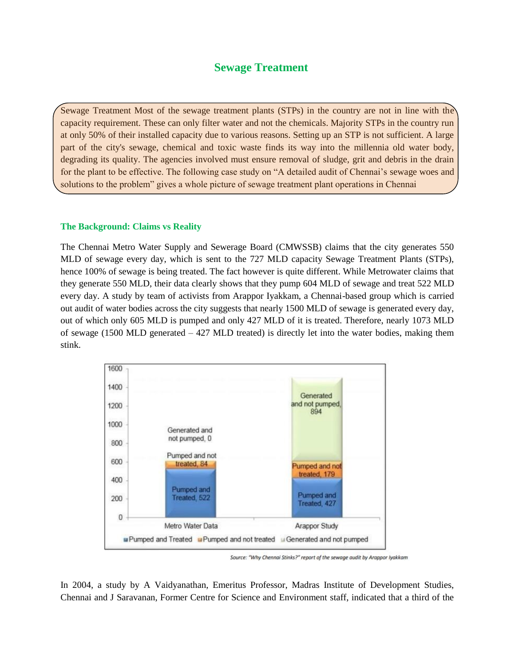## **Sewage Treatment**

Sewage Treatment Most of the sewage treatment plants (STPs) in the country are not in line with the capacity requirement. These can only filter water and not the chemicals. Majority STPs in the country run at only 50% of their installed capacity due to various reasons. Setting up an STP is not sufficient. A large part of the city's sewage, chemical and toxic waste finds its way into the millennia old water body, degrading its quality. The agencies involved must ensure removal of sludge, grit and debris in the drain for the plant to be effective. The following case study on "A detailed audit of Chennai's sewage woes and solutions to the problem" gives a whole picture of sewage treatment plant operations in Chennai

## **The Background: Claims vs Reality**

The Chennai Metro Water Supply and Sewerage Board (CMWSSB) claims that the city generates 550 MLD of sewage every day, which is sent to the 727 MLD capacity Sewage Treatment Plants (STPs), hence 100% of sewage is being treated. The fact however is quite different. While Metrowater claims that they generate 550 MLD, their data clearly shows that they pump 604 MLD of sewage and treat 522 MLD every day. A study by team of activists from Arappor Iyakkam, a Chennai-based group which is carried out audit of water bodies across the city suggests that nearly 1500 MLD of sewage is generated every day, out of which only 605 MLD is pumped and only 427 MLD of it is treated. Therefore, nearly 1073 MLD of sewage (1500 MLD generated – 427 MLD treated) is directly let into the water bodies, making them stink.



Source: "Why Chennai Stinks?" report of the sewage audit by Arappor Iyakkam

In 2004, a study by A Vaidyanathan, Emeritus Professor, Madras Institute of Development Studies, Chennai and J Saravanan, Former Centre for Science and Environment staff, indicated that a third of the